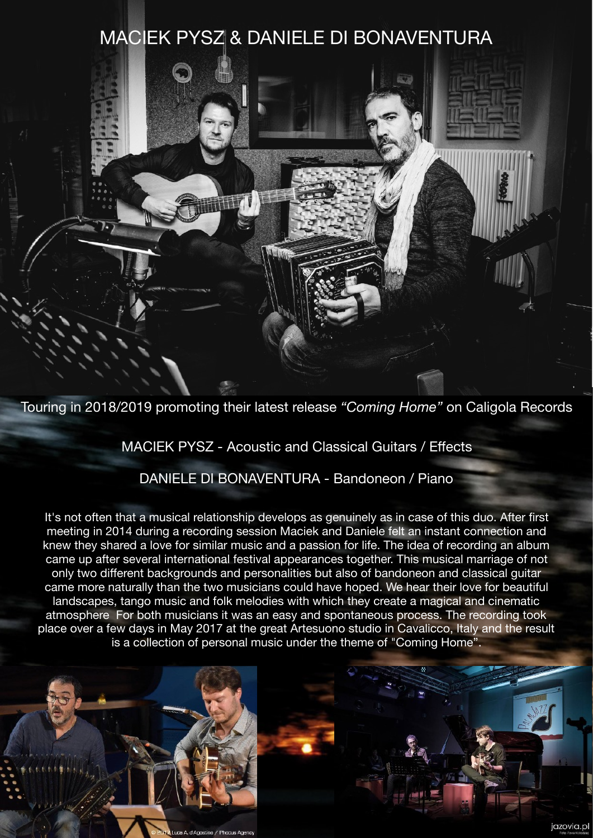## MACIEK PYSZ & DANIELE DI BONAVENTURA



MACIEK PYSZ - Acoustic and Classical Guitars / Effects

DANIELE DI BONAVENTURA - Bandoneon / Piano

It's not often that a musical relationship develops as genuinely as in case of this duo. After first meeting in 2014 during a recording session Maciek and Daniele felt an instant connection and knew they shared a love for similar music and a passion for life. The idea of recording an album came up after several international festival appearances together. This musical marriage of not only two different backgrounds and personalities but also of bandoneon and classical guitar came more naturally than the two musicians could have hoped. We hear their love for beautiful landscapes, tango music and folk melodies with which they create a magical and cinematic atmosphere For both musicians it was an easy and spontaneous process. The recording took place over a few days in May 2017 at the great Artesuono studio in Cavalicco, Italy and the result is a collection of personal music under the theme of "Coming Home".

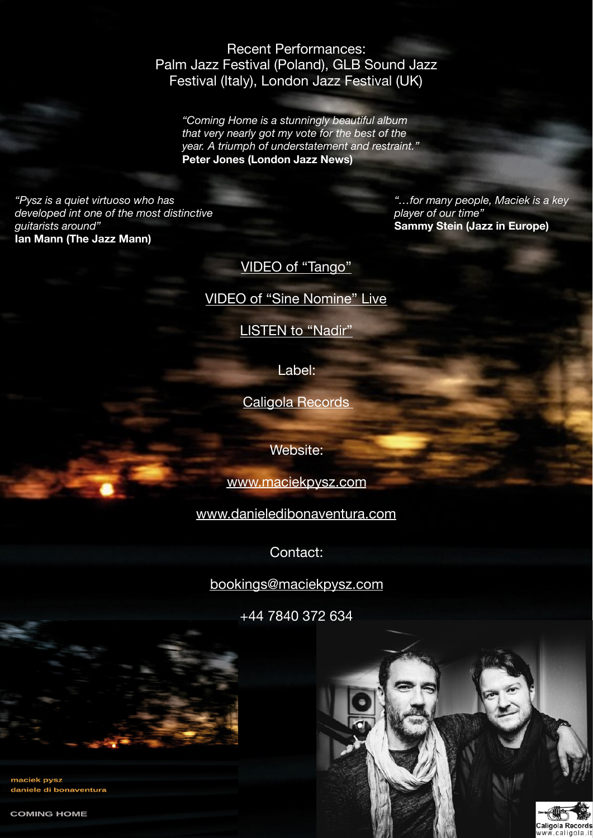## Recent Performances: Palm Jazz Festival (Poland), GLB Sound Jazz Festival (Italy), London Jazz Festival (UK)

*"Coming Home is a stunningly beautiful album that very nearly got my vote for the best of the year. A triumph of understatement and restraint."*  **Peter Jones (London Jazz News)**

*"Pysz is a quiet virtuoso who has developed int one of the most distinctive guitarists around"*  **Ian Mann (The Jazz Mann)** 

*"…for many people, Maciek is a key player of our time"*  **Sammy Stein (Jazz in Europe)** 

Caligola Record

[VIDEO of "Tango"](https://youtu.be/TOXNLo_y8ig)

[VIDEO of "Sine Nomine" Live](https://youtu.be/oQ-f8_-fex8)

**LISTEN to "Nadir"** 

Label:

[Caligola Records](http://www.caligola.it) 

Website:

[www.maciekpysz.com](http://www.maciekpysz.com)

[www.danieledibonaventura.com](http://www.danieledibonaventura.com)

Contact:

[bookings@maciekpysz.com](mailto:bookings@maciekpysz.com)

+44 7840 372 634

maciek pysz daniele di bonaventura